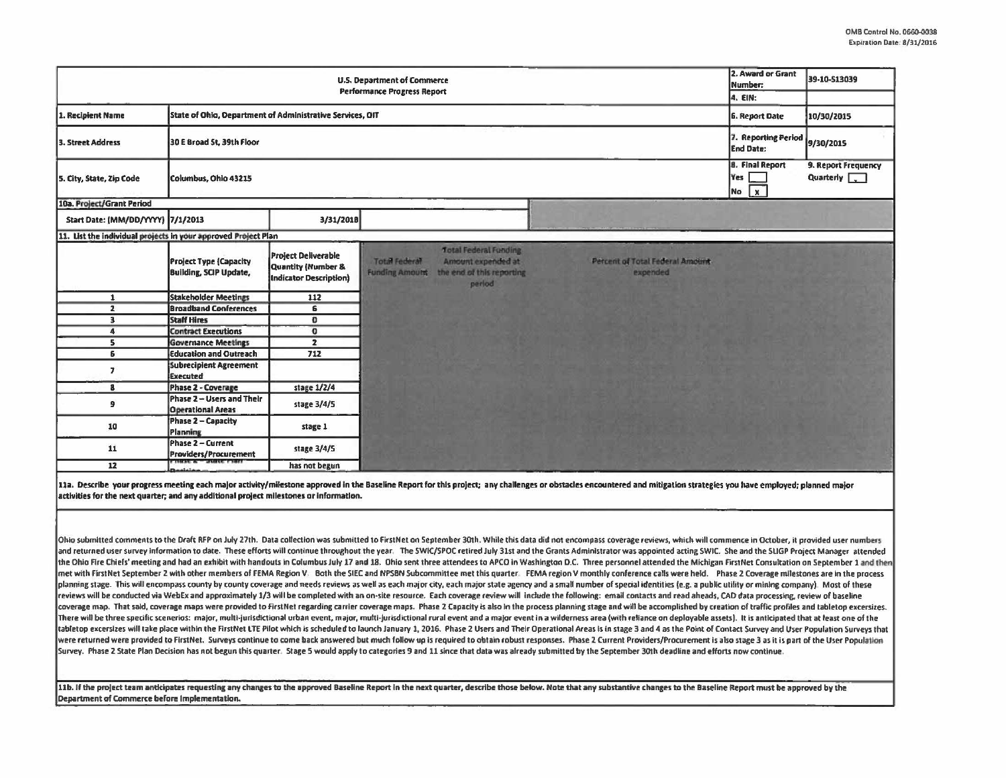| U.S. Department of Commerce<br><b>Performance Progress Report</b>              |                                                                |                                                                            |                                        |                                                                                           |                                              | 2. Award or Grant<br>Number:<br>4. EIN:             | 39-10-513039                                           |
|--------------------------------------------------------------------------------|----------------------------------------------------------------|----------------------------------------------------------------------------|----------------------------------------|-------------------------------------------------------------------------------------------|----------------------------------------------|-----------------------------------------------------|--------------------------------------------------------|
| 1. Recipient Name<br>State of Ohio, Department of Administrative Services, OIT |                                                                |                                                                            |                                        |                                                                                           |                                              | <b>6. Report Date</b>                               | 10/30/2015                                             |
| 3. Street Address                                                              | 30 E Broad St, 39th Floor                                      |                                                                            |                                        |                                                                                           |                                              |                                                     | 7. Reporting Period<br>9/30/2015                       |
| Columbus, Ohio 43215<br>5. City, State, Zip Code                               |                                                                |                                                                            |                                        |                                                                                           |                                              | <b>B.</b> Final Report<br>Yes<br>$\mathbf{x}$<br>No | 9. Report Frequency<br>Quarterly $\boxed{\phantom{a}}$ |
| 10a. Project/Grant Period                                                      |                                                                |                                                                            |                                        |                                                                                           |                                              |                                                     |                                                        |
| Start Date: (MM/DD/YYYY) 7/1/2013                                              |                                                                | 3/31/2018                                                                  |                                        |                                                                                           |                                              |                                                     |                                                        |
| 11. List the individual projects in your approved Project Plan                 |                                                                |                                                                            |                                        |                                                                                           |                                              |                                                     |                                                        |
|                                                                                | <b>Project Type (Capacity</b><br><b>Building, SCIP Update,</b> | <b>Project Deliverable</b><br>Quantity (Number &<br>Indicator Description) | Total Federal<br><b>Funding Amount</b> | <b>Total Federal Funding</b><br>Amount expended at<br>the end of this reporting<br>period | Percent of Total Federal Amount-<br>expended |                                                     |                                                        |
| $\mathbf{1}$                                                                   | <b>Stakeholder Meetings</b>                                    | 112                                                                        |                                        |                                                                                           |                                              |                                                     |                                                        |
| $\overline{2}$                                                                 | <b>Broadband Conferences</b>                                   | 6                                                                          |                                        |                                                                                           |                                              |                                                     |                                                        |
| 3                                                                              | <b>Staff Hires</b>                                             | $\overline{0}$                                                             |                                        |                                                                                           |                                              |                                                     |                                                        |
| 4                                                                              | <b>Contract Executions</b>                                     | $\sigma$                                                                   |                                        |                                                                                           |                                              |                                                     |                                                        |
| s.                                                                             | <b>Governance Meetings</b>                                     | $\overline{2}$                                                             |                                        |                                                                                           |                                              |                                                     |                                                        |
| 6                                                                              | <b>Education and Outreach</b>                                  | 712                                                                        |                                        |                                                                                           |                                              |                                                     |                                                        |
| $\overline{ }$                                                                 | <b>Subrecipient Agreement</b><br><b>Executed</b>               |                                                                            |                                        |                                                                                           |                                              |                                                     |                                                        |
| $\mathbf{a}$                                                                   | Phase 2 - Coverage                                             | stage 1/2/4                                                                |                                        |                                                                                           |                                              |                                                     |                                                        |
| э                                                                              | Phase 2 - Users and Their<br><b>Operational Areas</b>          | stage 3/4/5                                                                |                                        |                                                                                           |                                              |                                                     |                                                        |
| 10                                                                             | Phase 2 - Capacity<br>Planning                                 | stage 1                                                                    |                                        |                                                                                           |                                              |                                                     |                                                        |
| 11                                                                             | Phase 2 - Current<br>Providers/Procurement                     | stage 3/4/5                                                                |                                        |                                                                                           |                                              |                                                     |                                                        |
| 12                                                                             | وسمائيك                                                        | has not begun                                                              |                                        |                                                                                           |                                              |                                                     |                                                        |

11a. Describe your progress meeting each major activity/milestone approved in the Baseline Report for this project; any challenges or obstacles encountered and mitigation strategies you have employed; planned major  $\vert$ activities for the next quarter; and any additional project milestones or information.

Ohio submitted comments to the Draft RFP on July 27th. Data collection was submitted to FirstNet on September 30th. While this data did not encompass coverage reviews, which will commence in October, it provided user numbe and returned user survey information to date. These efforts will continue throughout the year. The SWIC/SPOC retired July 31st and the Grants Administrator was appointed acting SWIC. She and the SLIGP Project Manager atten the Ohio Fire Chiefs' meeting and had an exhibit with handouts in Columbus July 17 and 18. Ohio sent three attendees to APCO in Washington D.C. Three personnel attended the Michigan FirstNet Consultation on September 1 and First Net September 2 with other members of FEMA Resion V. Both the SIEC and NPSBN Subcommittee met this quarter. FEMA region v monthly conference calls were held. Phase 1 Coverage milestones are In the process planning stage. This will encompass county by county coverage and needs reviews as well as each major city, each major state agency and a small number of special identities (e.g. a public utility or mining company). Most o reviews will be conducted via WebEx and approximately 1/3 will be completed with an on-site resource. Each coverage review will include the following: email contacts and read aheads, CAD data processing, review of baseline coverage map. That said, coverage maps were provided to FirstNet regarding carrier coverage maps. Phase 2 Capacity is also in the process planning stage and will be accomplished by creation of traffic profiles and tabletop There will be three specific scenerios: major, multi-jurisdictional urban event, major, multi-jurisdictional rural event and a major event in a wilderness area (with reliance on deployable assets). It is anticipated that a tabletop excersizes will take place within the FirstNet LTE Pilot which is scheduled to launch January 1, 2016. Phase 2 Users and Their Operational Areas is in stage 3 and 4 as the Point of Contact Survey and User Populati were returned were provided to FirstNet. Surveys continue to come back answered but much follow up is required to obtain robust responses. Phase 2 Current Providers/Procurement is also stage 3 as it is part of the User Pop Survey. Phase 2 State Plan Decision has not begun this quarter. Stage 5 would apply to categories 9 and 11 since that data was already submitted by the September 30th deadline and efforts now continue.

11b. If the project team anticipates requesting any changes to the approved Baseline Report in the next quarter, describe those below. Note that any substantive changes to the Baseline Report must be approved by the Department of Commerce before Implementation.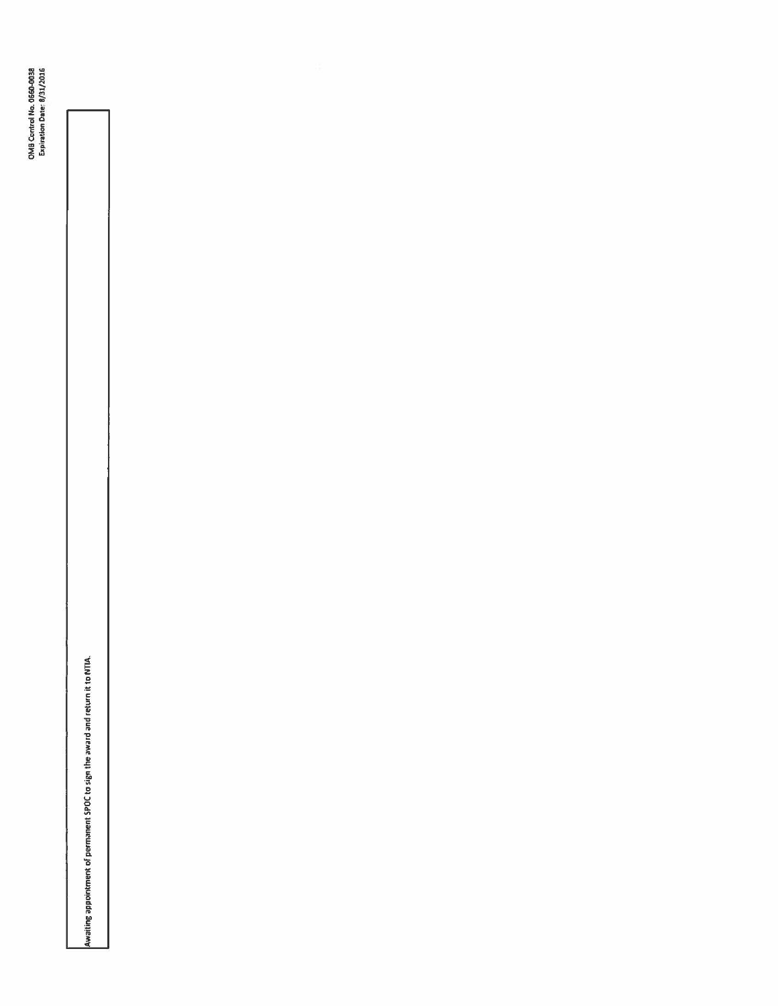Awaiting appointment of permanent SPOC to sign the award and return it to NTIA.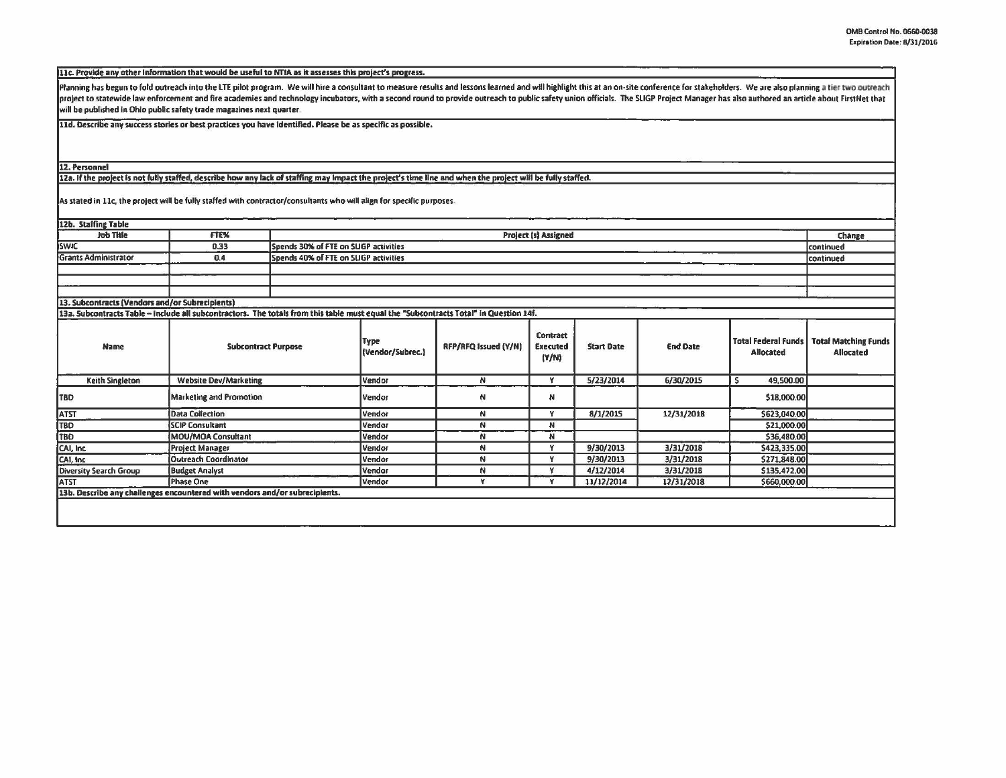11c. Provide any other Information that would be useful to NTIA as it assesses this project's progress.

Planning has begun to fold outreach into the LTE pilot program. We will hire a consultant to measure results and lessons learned and will highlight this at an on-site conference for stakeholders. We are also planning a tie project to statewide law enforcement and fire academies and technology incubators, with a second round to provide outreach to public safety union officials. The SLIGP Project Manager has also authored an article about Firs will be published in Ohio public safety trade magazines next quarter.

11d. Describe any success stories or best practices you have identified. Please be as specific as possible.

## 12. Personnel

12a. If the project is not fully staffed, describe how any lack of staffing may impact the project's time line and when the project will be fully staffed.

As stated in 11c, the project will be fully staffed with contractor/consultants who will align for specific purposes.

| 12b. Staffing Table<br><b>Job Title</b>         | FTE%                                                                                                                                  | <b>Project (s) Assigned</b><br>Change |        |                      |                                      |                   |                 |                                                |                                                 |
|-------------------------------------------------|---------------------------------------------------------------------------------------------------------------------------------------|---------------------------------------|--------|----------------------|--------------------------------------|-------------------|-----------------|------------------------------------------------|-------------------------------------------------|
| <b>SWIC</b>                                     | 0.33                                                                                                                                  | Spends 30% of FTE on SLIGP activities |        |                      |                                      |                   |                 |                                                | continued                                       |
| <b>Grants Administrator</b>                     | 0.4                                                                                                                                   | Spends 40% of FTE on SUGP activities  |        |                      |                                      |                   |                 |                                                | continued                                       |
|                                                 |                                                                                                                                       |                                       |        |                      |                                      |                   |                 |                                                |                                                 |
|                                                 |                                                                                                                                       |                                       |        |                      |                                      |                   |                 |                                                |                                                 |
|                                                 |                                                                                                                                       |                                       |        |                      |                                      |                   |                 |                                                |                                                 |
| 13. Subcontracts (Vendors and/or Subrecipients) |                                                                                                                                       |                                       |        |                      |                                      |                   |                 |                                                |                                                 |
|                                                 | 13a. Subcontracts Table - Include all subcontractors. The totals from this table must equal the "Subcontracts Total" in Question 14f. |                                       |        |                      |                                      |                   |                 |                                                |                                                 |
| <b>Name</b>                                     |                                                                                                                                       | <b>Subcontract Purpose</b>            |        | RFP/RFQ Issued (Y/N) | Contract<br><b>Executed</b><br>(Y/N) | <b>Start Date</b> | <b>End Date</b> | <b>Total Federal Funds</b><br><b>Allocated</b> | <b>Total Matching Funds</b><br><b>Allocated</b> |
| Keith Singleton                                 | <b>Website Dev/Marketing</b>                                                                                                          |                                       |        | N                    | Y                                    | 5/23/2014         | 6/30/2015       | 49,500.00<br>s                                 |                                                 |
| <b>TBD</b>                                      | <b>Marketing and Promotion</b>                                                                                                        |                                       |        | N                    | N.                                   |                   |                 | \$18,000.00                                    |                                                 |
| <b>ATST</b>                                     | <b>Data Collection</b>                                                                                                                |                                       |        | N                    | ٧                                    | 8/1/2015          | 12/31/2018      | \$623,040.00                                   |                                                 |
| <b>TBD</b>                                      | <b>SCIP Consultant</b>                                                                                                                | Vendor<br>Vendor                      |        | N                    | N                                    |                   |                 | \$21,000.00                                    |                                                 |
| TBD                                             | MOU/MOA Consultant                                                                                                                    |                                       | Vendor | N                    | N                                    |                   |                 | \$36,480.00                                    |                                                 |
| CAI, Inc.                                       | <b>Project Manager</b>                                                                                                                |                                       | Vendor | N                    | Y                                    | 9/30/2013         | 3/31/2018       | \$423,335.00                                   |                                                 |
| CAI, Inc.                                       | Outreach Coordinator                                                                                                                  |                                       | Vendor | N                    | Y                                    | 9/30/2013         | 3/31/2018       | \$271,848.00                                   |                                                 |
| <b>Diversity Search Group</b>                   | <b>Budget Analyst</b>                                                                                                                 |                                       | Vendor | N                    | Y                                    | 4/12/2014         | 3/31/2018       | \$135,472.00                                   |                                                 |
| <b>ATST</b>                                     | Phase One                                                                                                                             |                                       | Vendor | ¥.                   | Y                                    | 11/12/2014        | 12/31/2018      | \$660,000.00                                   |                                                 |
|                                                 | 13b. Describe any challenges encountered with vendors and/or subrecipients.                                                           |                                       |        |                      |                                      |                   |                 |                                                |                                                 |
|                                                 |                                                                                                                                       |                                       |        |                      |                                      |                   |                 |                                                |                                                 |